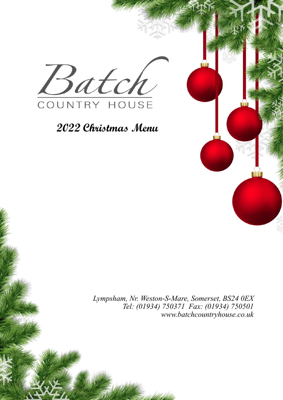

## **2022 Christmas Menu**

*Lympsham, Nr. Weston-S-Mare, Somerset, BS24 0EX Tel: (01934) 750371 Fax: (01934) 750501 www.batchcountryhouse.co.uk*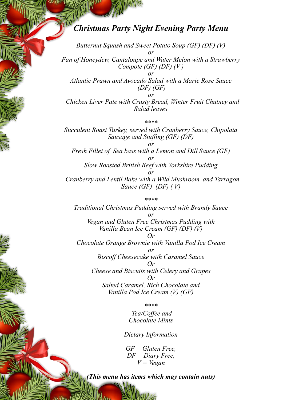## *Christmas Party Night Evening Party Menu*

*Butternut Squash and Sweet Potato Soup (GF) (DF) (V) or Fan of Honeydew, Cantaloupe and Water Melon with a Strawberry Compote (GF) (DF) (V ) or Atlantic Prawn and Avocado Salad with a Marie Rose Sauce (DF) (GF) or Chicken Liver Pate with Crusty Bread, Winter Fruit Chutney and Salad leaves* 

*\*\*\*\* Succulent Roast Turkey, served with Cranberry Sauce, Chipolata Sausage and Stuffing (GF) (DF) or Fresh Fillet of Sea bass with a Lemon and Dill Sauce (GF) or Slow Roasted British Beef with Yorkshire Pudding or Cranberry and Lentil Bake with a Wild Mushroom and Tarragon Sauce (GF) (DF) ( V)*

*\*\*\*\* Traditional Christmas Pudding served with Brandy Sauce or Vegan and Gluten Free Christmas Pudding with Vanilla Bean Ice Cream (GF) (DF) (V) Or Chocolate Orange Brownie with Vanilla Pod Ice Cream or Biscoff Cheesecake with Caramel Sauce Or Cheese and Biscuits with Celery and Grapes Or Salted Caramel, Rich Chocolate and Vanilla Pod Ice Cream (V) (GF)*

*\*\*\*\**

*Tea/Coffee and Chocolate Mints*

*Dietary Information*

*GF = Gluten Free, DF = Diary Free, V = Vegan* 

*(This menu has items which may contain nuts)*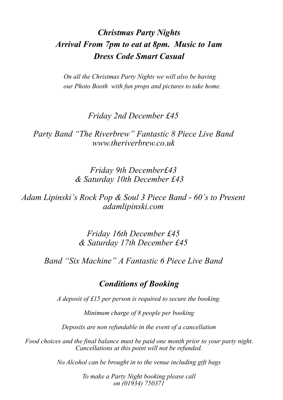## *Christmas Party Nights Arrival From 7pm to eat at 8pm. Music to 1am Dress Code Smart Casual*

*On all the Christmas Party Nights we will also be having our Photo Booth with fun props and pictures to take home.*

*Friday 2nd December £45*

*Party Band "The Riverbrew" Fantastic 8 Piece Live Band www.theriverbrew.co.uk*

> *Friday 9th December£43 & Saturday 10th December £43*

*Adam Lipinski's Rock Pop & Soul 3 Piece Band - 60's to Present adamlipinski.com*

> *Friday 16th December £45 & Saturday 17th December £45*

*Band "Six Machine" A Fantastic 6 Piece Live Band* 

## *Conditions of Booking*

*A deposit of £15 per person is required to secure the booking.* 

*Minimum charge of 8 people per booking*

*Deposits are non refundable in the event of a cancellation* 

*Food choices and the final balance must be paid one month prior to your party night. Cancellations at this point will not be refunded.* 

*No Alcohol can be brought in to the venue including gift bags* 

*To make a Party Night booking please call on (01934) 750371*